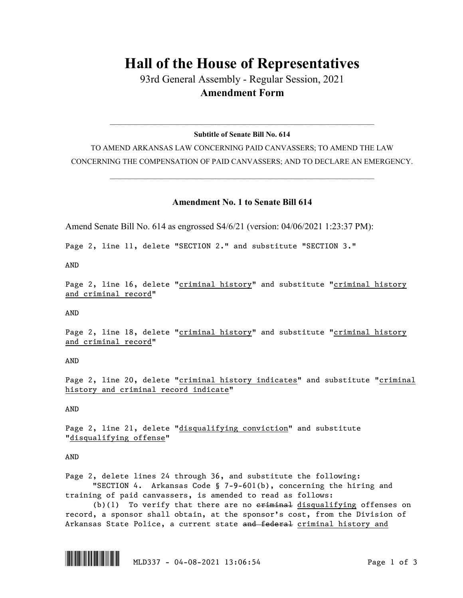## **Hall of the House of Representatives**

93rd General Assembly - Regular Session, 2021 **Amendment Form**

 $\_$  , and the set of the set of the set of the set of the set of the set of the set of the set of the set of the set of the set of the set of the set of the set of the set of the set of the set of the set of the set of th **Subtitle of Senate Bill No. 614**

TO AMEND ARKANSAS LAW CONCERNING PAID CANVASSERS; TO AMEND THE LAW CONCERNING THE COMPENSATION OF PAID CANVASSERS; AND TO DECLARE AN EMERGENCY.

 $\_$  , and the set of the set of the set of the set of the set of the set of the set of the set of the set of the set of the set of the set of the set of the set of the set of the set of the set of the set of the set of th

## **Amendment No. 1 to Senate Bill 614**

Amend Senate Bill No. 614 as engrossed S4/6/21 (version: 04/06/2021 1:23:37 PM):

Page 2, line 11, delete "SECTION 2." and substitute "SECTION 3."

AND

Page 2, line 16, delete "criminal history" and substitute "criminal history and criminal record"

AND

Page 2, line 18, delete "criminal history" and substitute "criminal history and criminal record"

AND

Page 2, line 20, delete "criminal history indicates" and substitute "criminal history and criminal record indicate"

AND

Page 2, line 21, delete "disqualifying conviction" and substitute "disqualifying offense"

AND

Page 2, delete lines 24 through 36, and substitute the following: "SECTION 4. Arkansas Code § 7-9-601(b), concerning the hiring and training of paid canvassers, is amended to read as follows:

(b)(1) To verify that there are no  $e^{\frac{r}{r}}$  disqualifying offenses on record, a sponsor shall obtain, at the sponsor's cost, from the Division of Arkansas State Police, a current state and federal criminal history and

 $\begin{array}{|c|c|c|c|c|c|c|c|c|}\hline \multicolumn{3}{|c|}{\textbf{MLD337}} & - & 04-08-2021 & 13:06:54 & \multicolumn{3}{|c|}{\textbf{MLD337}} \\\hline \end{array}$  Page 1 of 3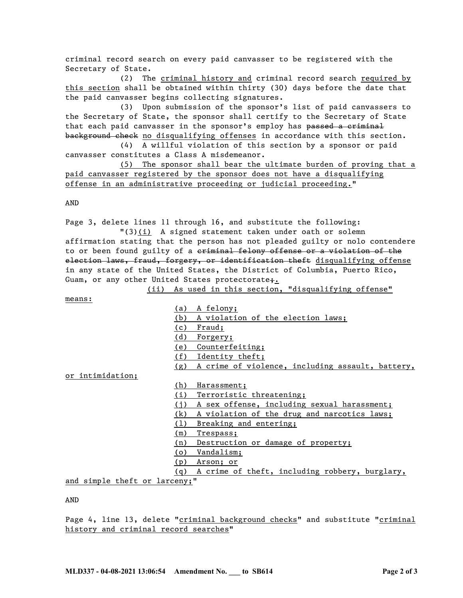criminal record search on every paid canvasser to be registered with the Secretary of State.

(2) The criminal history and criminal record search required by this section shall be obtained within thirty (30) days before the date that the paid canvasser begins collecting signatures.

(3) Upon submission of the sponsor's list of paid canvassers to the Secretary of State, the sponsor shall certify to the Secretary of State that each paid canvasser in the sponsor's employ has passed a criminal background check no disqualifying offenses in accordance with this section.

(4) A willful violation of this section by a sponsor or paid canvasser constitutes a Class A misdemeanor.

(5) The sponsor shall bear the ultimate burden of proving that a paid canvasser registered by the sponsor does not have a disqualifying offense in an administrative proceeding or judicial proceeding."

AND

Page 3, delete lines 11 through 16, and substitute the following:

"(3)(i) A signed statement taken under oath or solemn affirmation stating that the person has not pleaded guilty or nolo contendere to or been found guilty of a criminal felony offense or a violation of the election laws, fraud, forgery, or identification theft disqualifying offense in any state of the United States, the District of Columbia, Puerto Rico, Guam, or any other United States protectorate<sub>j.</sub>

means:

(ii) As used in this section, "disqualifying offense"

(a) A felony; (b) A violation of the election laws; (c) Fraud; (d) Forgery; (e) Counterfeiting; (f) Identity theft; (g) A crime of violence, including assault, battery,

or intimidation;

(h) Harassment;

(i) Terroristic threatening;

(j) A sex offense, including sexual harassment;

(k) A violation of the drug and narcotics laws;

(l) Breaking and entering;

(m) Trespass;

(n) Destruction or damage of property;

(o) Vandalism;

(p) Arson; or

(q) A crime of theft, including robbery, burglary,

and simple theft or larceny;"

AND

Page 4, line 13, delete "criminal background checks" and substitute "criminal history and criminal record searches"